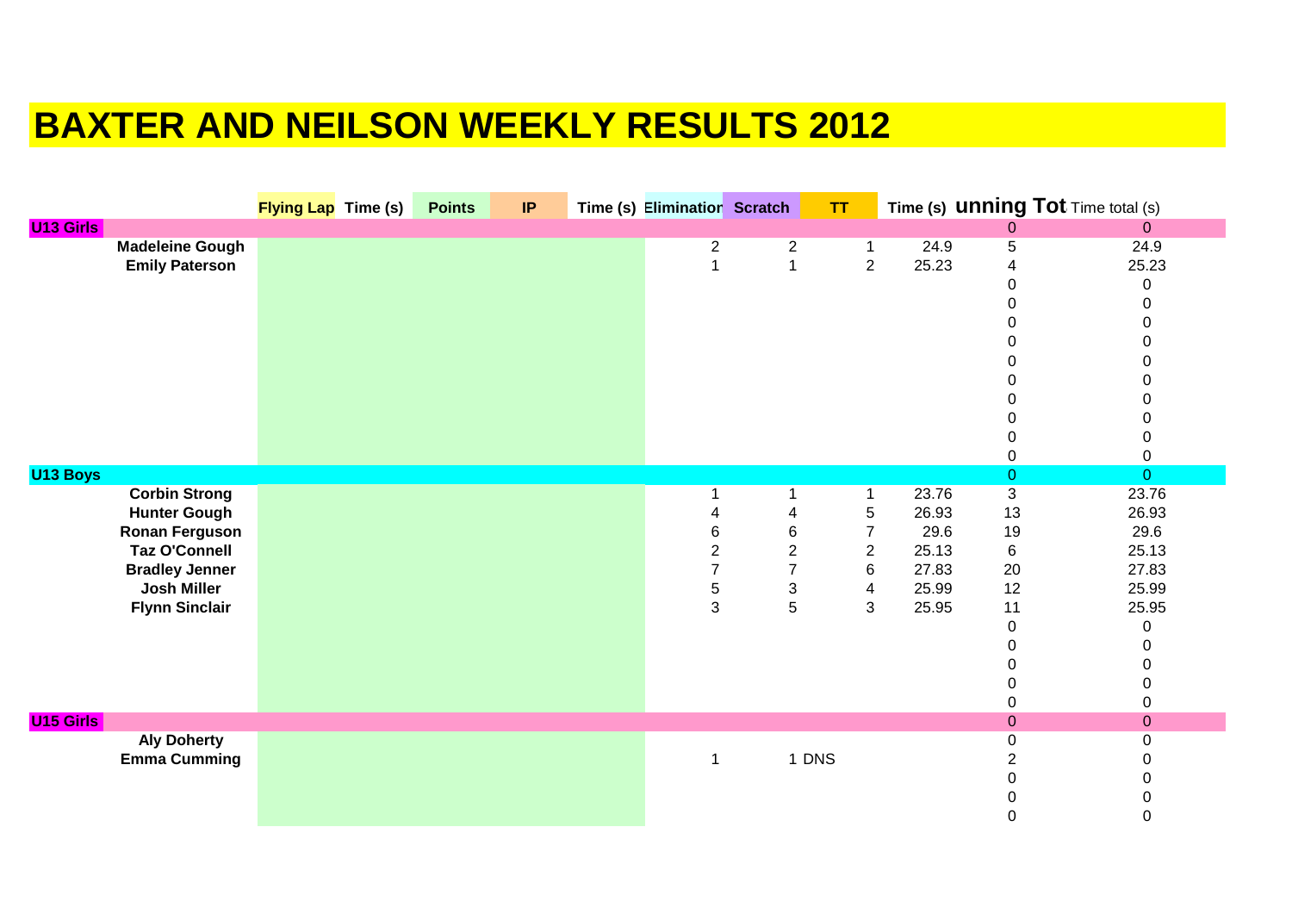## **BAXTER AND NEILSON WEEKLY RESULTS 2012**

|                  |                        | <b>Flying Lap</b> Time (s) | <b>Points</b> | IP | Time (s) Eliminatior Scratch |                           | TT                      |       |                  | Time (s) <b>UNNING Tot</b> Time total (s) |
|------------------|------------------------|----------------------------|---------------|----|------------------------------|---------------------------|-------------------------|-------|------------------|-------------------------------------------|
| <b>U13 Girls</b> |                        |                            |               |    |                              |                           |                         |       | $\boldsymbol{0}$ | $\overline{0}$                            |
|                  | <b>Madeleine Gough</b> |                            |               |    | $\overline{\mathbf{c}}$      | $\overline{c}$            | $\mathbf{1}$            | 24.9  | 5                | 24.9                                      |
|                  | <b>Emily Paterson</b>  |                            |               |    | 1                            | $\overline{1}$            | $\overline{2}$          | 25.23 | 4                | 25.23                                     |
|                  |                        |                            |               |    |                              |                           |                         |       | 0                | 0                                         |
|                  |                        |                            |               |    |                              |                           |                         |       | 0                | 0                                         |
|                  |                        |                            |               |    |                              |                           |                         |       | ი                | $\pmb{0}$                                 |
|                  |                        |                            |               |    |                              |                           |                         |       |                  | $\pmb{0}$                                 |
|                  |                        |                            |               |    |                              |                           |                         |       |                  | $\pmb{0}$                                 |
|                  |                        |                            |               |    |                              |                           |                         |       |                  | $\pmb{0}$                                 |
|                  |                        |                            |               |    |                              |                           |                         |       |                  | $\pmb{0}$                                 |
|                  |                        |                            |               |    |                              |                           |                         |       |                  | $\pmb{0}$                                 |
|                  |                        |                            |               |    |                              |                           |                         |       |                  | $\pmb{0}$                                 |
|                  |                        |                            |               |    |                              |                           |                         |       | 0                | $\pmb{0}$                                 |
| U13 Boys         |                        |                            |               |    |                              |                           |                         |       | $\overline{0}$   | $\overline{0}$                            |
|                  | <b>Corbin Strong</b>   |                            |               |    |                              | 1                         | $\mathbf{1}$            | 23.76 | $\overline{3}$   | 23.76                                     |
|                  | <b>Hunter Gough</b>    |                            |               |    | 4                            | 4                         | $\mathbf 5$             | 26.93 | 13               | 26.93                                     |
|                  | <b>Ronan Ferguson</b>  |                            |               |    | 6                            | 6                         | $\overline{7}$          | 29.6  | 19               | 29.6                                      |
|                  | <b>Taz O'Connell</b>   |                            |               |    | $\overline{c}$               | $\boldsymbol{2}$          | $\overline{c}$          | 25.13 | $\,6$            | 25.13                                     |
|                  | <b>Bradley Jenner</b>  |                            |               |    | $\overline{7}$               | $\overline{7}$            | 6                       | 27.83 | 20               | 27.83                                     |
|                  | <b>Josh Miller</b>     |                            |               |    | 5                            | $\ensuremath{\mathsf{3}}$ | $\overline{\mathbf{4}}$ | 25.99 | 12               | 25.99                                     |
|                  | <b>Flynn Sinclair</b>  |                            |               |    | 3                            | 5                         | 3                       | 25.95 | 11               | 25.95                                     |
|                  |                        |                            |               |    |                              |                           |                         |       | $\boldsymbol{0}$ | $\mathbf 0$                               |
|                  |                        |                            |               |    |                              |                           |                         |       | $\Omega$         | $\pmb{0}$                                 |
|                  |                        |                            |               |    |                              |                           |                         |       |                  | $\pmb{0}$                                 |
|                  |                        |                            |               |    |                              |                           |                         |       |                  | $\pmb{0}$                                 |
|                  |                        |                            |               |    |                              |                           |                         |       | 0                | $\pmb{0}$                                 |
| <b>U15 Girls</b> |                        |                            |               |    |                              |                           |                         |       | $\boldsymbol{0}$ | $\pmb{0}$                                 |
|                  | <b>Aly Doherty</b>     |                            |               |    |                              |                           |                         |       | 0                | $\pmb{0}$                                 |
|                  | <b>Emma Cumming</b>    |                            |               |    | $\mathbf 1$                  |                           | 1 DNS                   |       | 2                | 0                                         |
|                  |                        |                            |               |    |                              |                           |                         |       | 0                | $\pmb{0}$                                 |
|                  |                        |                            |               |    |                              |                           |                         |       |                  |                                           |
|                  |                        |                            |               |    |                              |                           |                         |       | 0                | $\pmb{0}$<br>0                            |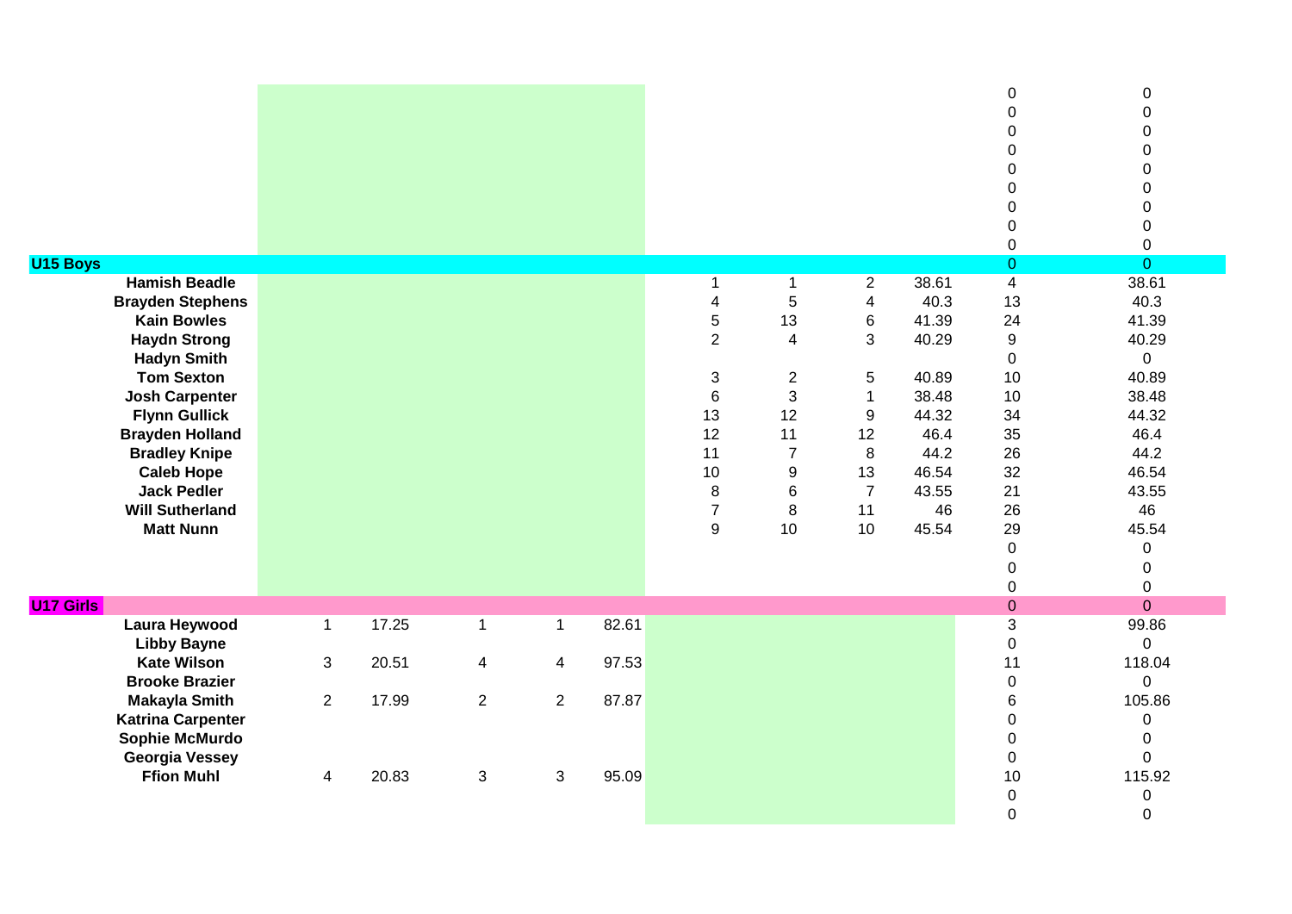| <b>U15 Boys</b><br><b>Hamish Beadle</b><br><b>Brayden Stephens</b><br><b>Kain Bowles</b><br><b>Haydn Strong</b><br><b>Hadyn Smith</b><br><b>Tom Sexton</b><br><b>Josh Carpenter</b><br><b>Flynn Gullick</b><br><b>Brayden Holland</b><br><b>Bradley Knipe</b><br><b>Caleb Hope</b><br><b>Jack Pedler</b><br><b>Will Sutherland</b><br><b>Matt Nunn</b> |                |       |                |                          |       | -1<br>$\overline{4}$<br>$\overline{5}$<br>$\overline{2}$<br>$\sqrt{3}$<br>$\,6\,$<br>13<br>12<br>11<br>10<br>$\,8\,$<br>$\overline{7}$<br>9 | $\mathbf 1$<br>5<br>13<br>$\overline{4}$<br>$\overline{2}$<br>3<br>12<br>11<br>$\overline{7}$<br>$\boldsymbol{9}$<br>$\,6$<br>8<br>10 | $\overline{2}$<br>$\overline{\mathbf{4}}$<br>6<br>3<br>$\sqrt{5}$<br>$\mathbf{1}$<br>9<br>12<br>8<br>13<br>$\overline{7}$<br>11<br>10 | 38.61<br>40.3<br>41.39<br>40.29<br>40.89<br>38.48<br>44.32<br>46.4<br>44.2<br>46.54<br>43.55<br>46<br>45.54 | $\mathbf 0$<br>$\Omega$<br>$\Omega$<br>$\Omega$<br>0<br>0<br>0<br>0<br>$\mathsf 0$<br>$\mathbf 0$<br>$\overline{\mathbf{4}}$<br>13<br>24<br>9<br>$\mathbf 0$<br>10<br>10<br>34<br>35<br>26<br>32<br>21<br>26<br>29<br>$\mathbf 0$<br>$\pmb{0}$ | 0<br>$\mathbf 0$<br>$\mathbf 0$<br>$\mathbf 0$<br>$\mathbf 0$<br>$\mathbf 0$<br>$\mathbf 0$<br>$\boldsymbol{0}$<br>$\boldsymbol{0}$<br>$\overline{O}$<br>38.61<br>40.3<br>41.39<br>40.29<br>0<br>40.89<br>38.48<br>44.32<br>46.4<br>44.2<br>46.54<br>43.55<br>46<br>45.54<br>0<br>0 |
|--------------------------------------------------------------------------------------------------------------------------------------------------------------------------------------------------------------------------------------------------------------------------------------------------------------------------------------------------------|----------------|-------|----------------|--------------------------|-------|---------------------------------------------------------------------------------------------------------------------------------------------|---------------------------------------------------------------------------------------------------------------------------------------|---------------------------------------------------------------------------------------------------------------------------------------|-------------------------------------------------------------------------------------------------------------|------------------------------------------------------------------------------------------------------------------------------------------------------------------------------------------------------------------------------------------------|-------------------------------------------------------------------------------------------------------------------------------------------------------------------------------------------------------------------------------------------------------------------------------------|
|                                                                                                                                                                                                                                                                                                                                                        |                |       |                |                          |       |                                                                                                                                             |                                                                                                                                       |                                                                                                                                       |                                                                                                             | $\pmb{0}$                                                                                                                                                                                                                                      | $\mathbf 0$                                                                                                                                                                                                                                                                         |
| <b>U17 Girls</b>                                                                                                                                                                                                                                                                                                                                       |                |       |                |                          |       |                                                                                                                                             |                                                                                                                                       |                                                                                                                                       |                                                                                                             | $\pmb{0}$                                                                                                                                                                                                                                      | $\overline{0}$                                                                                                                                                                                                                                                                      |
| <b>Laura Heywood</b>                                                                                                                                                                                                                                                                                                                                   | $\mathbf{1}$   | 17.25 | $\mathbf{1}$   | $\mathbf{1}$             | 82.61 |                                                                                                                                             |                                                                                                                                       |                                                                                                                                       |                                                                                                             | 3                                                                                                                                                                                                                                              | 99.86                                                                                                                                                                                                                                                                               |
| <b>Libby Bayne</b><br><b>Kate Wilson</b>                                                                                                                                                                                                                                                                                                               |                | 20.51 |                |                          | 97.53 |                                                                                                                                             |                                                                                                                                       |                                                                                                                                       |                                                                                                             | $\pmb{0}$<br>11                                                                                                                                                                                                                                | $\Omega$<br>118.04                                                                                                                                                                                                                                                                  |
| <b>Brooke Brazier</b>                                                                                                                                                                                                                                                                                                                                  | $\mathfrak{S}$ |       | $\overline{4}$ | $\overline{\mathcal{A}}$ |       |                                                                                                                                             |                                                                                                                                       |                                                                                                                                       |                                                                                                             | $\pmb{0}$                                                                                                                                                                                                                                      | $\Omega$                                                                                                                                                                                                                                                                            |
| <b>Makayla Smith</b>                                                                                                                                                                                                                                                                                                                                   | $\overline{2}$ | 17.99 | $\overline{2}$ | $\overline{2}$           | 87.87 |                                                                                                                                             |                                                                                                                                       |                                                                                                                                       |                                                                                                             | 6                                                                                                                                                                                                                                              | 105.86                                                                                                                                                                                                                                                                              |
| <b>Katrina Carpenter</b>                                                                                                                                                                                                                                                                                                                               |                |       |                |                          |       |                                                                                                                                             |                                                                                                                                       |                                                                                                                                       |                                                                                                             | $\mathbf 0$                                                                                                                                                                                                                                    | $\mathbf 0$                                                                                                                                                                                                                                                                         |
| Sophie McMurdo                                                                                                                                                                                                                                                                                                                                         |                |       |                |                          |       |                                                                                                                                             |                                                                                                                                       |                                                                                                                                       |                                                                                                             | 0                                                                                                                                                                                                                                              | $\mathbf 0$                                                                                                                                                                                                                                                                         |
| <b>Georgia Vessey</b>                                                                                                                                                                                                                                                                                                                                  |                |       |                |                          |       |                                                                                                                                             |                                                                                                                                       |                                                                                                                                       |                                                                                                             | $\mathbf 0$                                                                                                                                                                                                                                    | $\mathbf 0$                                                                                                                                                                                                                                                                         |
| <b>Ffion Muhl</b>                                                                                                                                                                                                                                                                                                                                      | 4              | 20.83 | 3              | 3                        | 95.09 |                                                                                                                                             |                                                                                                                                       |                                                                                                                                       |                                                                                                             | 10<br>$\pmb{0}$                                                                                                                                                                                                                                | 115.92<br>0                                                                                                                                                                                                                                                                         |
|                                                                                                                                                                                                                                                                                                                                                        |                |       |                |                          |       |                                                                                                                                             |                                                                                                                                       |                                                                                                                                       |                                                                                                             | $\overline{0}$                                                                                                                                                                                                                                 | $\mathbf{0}$                                                                                                                                                                                                                                                                        |
|                                                                                                                                                                                                                                                                                                                                                        |                |       |                |                          |       |                                                                                                                                             |                                                                                                                                       |                                                                                                                                       |                                                                                                             |                                                                                                                                                                                                                                                |                                                                                                                                                                                                                                                                                     |